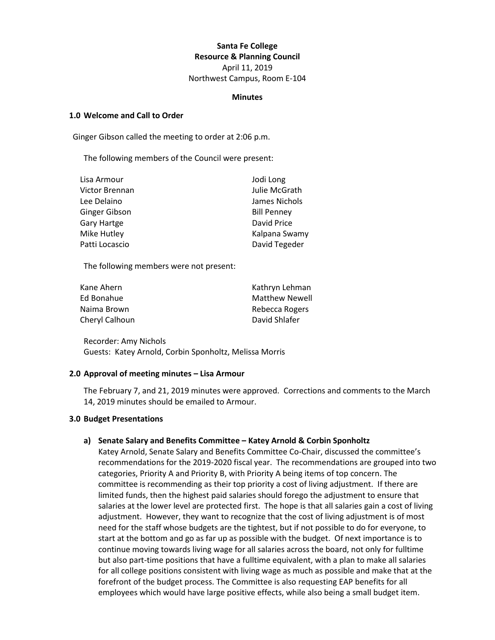# **Santa Fe College Resource & Planning Council**

April 11, 2019 Northwest Campus, Room E-104

#### **Minutes**

#### **1.0 Welcome and Call to Order**

Ginger Gibson called the meeting to order at 2:06 p.m.

The following members of the Council were present:

| Lisa Armour    | Jodi Long          |
|----------------|--------------------|
| Victor Brennan | Julie McGrath      |
| Lee Delaino    | James Nichols      |
| Ginger Gibson  | <b>Bill Penney</b> |
| Gary Hartge    | David Price        |
| Mike Hutley    | Kalpana Swamy      |
| Patti Locascio | David Tegeder      |

The following members were not present:

| Kathryn Lehman        |
|-----------------------|
| <b>Matthew Newell</b> |
| Rebecca Rogers        |
| David Shlafer         |
|                       |

Recorder: Amy Nichols Guests: Katey Arnold, Corbin Sponholtz, Melissa Morris

## **2.0 Approval of meeting minutes – Lisa Armour**

The February 7, and 21, 2019 minutes were approved. Corrections and comments to the March 14, 2019 minutes should be emailed to Armour.

#### **3.0 Budget Presentations**

## **a) Senate Salary and Benefits Committee – Katey Arnold & Corbin Sponholtz**

Katey Arnold, Senate Salary and Benefits Committee Co-Chair, discussed the committee's recommendations for the 2019-2020 fiscal year. The recommendations are grouped into two categories, Priority A and Priority B, with Priority A being items of top concern. The committee is recommending as their top priority a cost of living adjustment. If there are limited funds, then the highest paid salaries should forego the adjustment to ensure that salaries at the lower level are protected first. The hope is that all salaries gain a cost of living adjustment. However, they want to recognize that the cost of living adjustment is of most need for the staff whose budgets are the tightest, but if not possible to do for everyone, to start at the bottom and go as far up as possible with the budget. Of next importance is to continue moving towards living wage for all salaries across the board, not only for fulltime but also part-time positions that have a fulltime equivalent, with a plan to make all salaries for all college positions consistent with living wage as much as possible and make that at the forefront of the budget process. The Committee is also requesting EAP benefits for all employees which would have large positive effects, while also being a small budget item.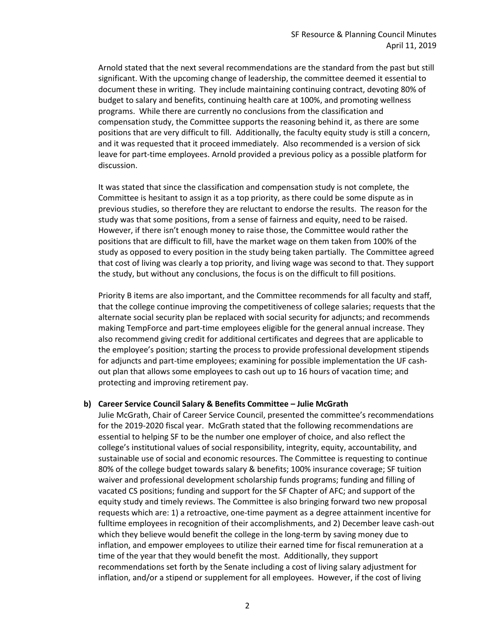Arnold stated that the next several recommendations are the standard from the past but still significant. With the upcoming change of leadership, the committee deemed it essential to document these in writing. They include maintaining continuing contract, devoting 80% of budget to salary and benefits, continuing health care at 100%, and promoting wellness programs. While there are currently no conclusions from the classification and compensation study, the Committee supports the reasoning behind it, as there are some positions that are very difficult to fill. Additionally, the faculty equity study is still a concern, and it was requested that it proceed immediately. Also recommended is a version of sick leave for part-time employees. Arnold provided a previous policy as a possible platform for discussion.

It was stated that since the classification and compensation study is not complete, the Committee is hesitant to assign it as a top priority, as there could be some dispute as in previous studies, so therefore they are reluctant to endorse the results. The reason for the study was that some positions, from a sense of fairness and equity, need to be raised. However, if there isn't enough money to raise those, the Committee would rather the positions that are difficult to fill, have the market wage on them taken from 100% of the study as opposed to every position in the study being taken partially. The Committee agreed that cost of living was clearly a top priority, and living wage was second to that. They support the study, but without any conclusions, the focus is on the difficult to fill positions.

Priority B items are also important, and the Committee recommends for all faculty and staff, that the college continue improving the competitiveness of college salaries; requests that the alternate social security plan be replaced with social security for adjuncts; and recommends making TempForce and part-time employees eligible for the general annual increase. They also recommend giving credit for additional certificates and degrees that are applicable to the employee's position; starting the process to provide professional development stipends for adjuncts and part-time employees; examining for possible implementation the UF cashout plan that allows some employees to cash out up to 16 hours of vacation time; and protecting and improving retirement pay.

#### **b) Career Service Council Salary & Benefits Committee – Julie McGrath**

Julie McGrath, Chair of Career Service Council, presented the committee's recommendations for the 2019-2020 fiscal year. McGrath stated that the following recommendations are essential to helping SF to be the number one employer of choice, and also reflect the college's institutional values of social responsibility, integrity, equity, accountability, and sustainable use of social and economic resources. The Committee is requesting to continue 80% of the college budget towards salary & benefits; 100% insurance coverage; SF tuition waiver and professional development scholarship funds programs; funding and filling of vacated CS positions; funding and support for the SF Chapter of AFC; and support of the equity study and timely reviews. The Committee is also bringing forward two new proposal requests which are: 1) a retroactive, one-time payment as a degree attainment incentive for fulltime employees in recognition of their accomplishments, and 2) December leave cash-out which they believe would benefit the college in the long-term by saving money due to inflation, and empower employees to utilize their earned time for fiscal remuneration at a time of the year that they would benefit the most. Additionally, they support recommendations set forth by the Senate including a cost of living salary adjustment for inflation, and/or a stipend or supplement for all employees. However, if the cost of living